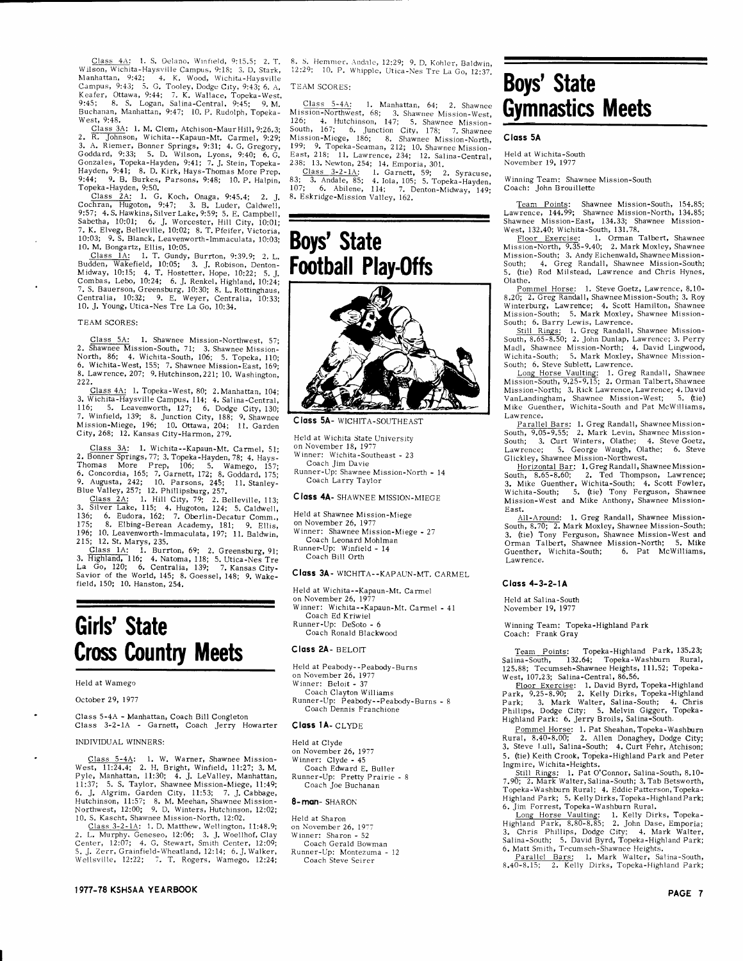Class  $4A$ : 1. S. Delano, Winfield, 9:15.5; 2. T.<br>Wilson, Wichita-Haysville Campus, 9:18; 3. D. Stark, Manhattan, 9:42; 4. K. Wood, Wichita-Haysville<br>Campus, 9:43; 5. G. Tooley, Dodge City, 9:43; 6. A.<br>Keafer, Ottawa, 9:4 Buchanan, Manhattan, 9:47; 10. P. Rudolph, Topeka-West. 9:48.

West, 9:48.<br>
Class 3A: 1. M. Clem, Atchison-Maur Hill, 9:26.3;<br>
2. R. Johnson, Wichita--Kapaun-Mt. Carmel, 9:29;<br>
3. A. Riemer, Bonner Springs, 9:31; 4. G. Gregory,<br>
Goddard, 9:33; 5. D. Wilson, Lyons, 9:40; 6. G.<br>
Goddard

Hayan, 7.11, 01 Let, Parsons, 9:48; 10. P. Halpin, 9:44; 9. B. Burkes, Parsons, 9:48; 10. P. Halpin, Topeka-Hayden, 9:50,  $\frac{3.50}{100}$ , 9:47; 3. B. Luder, Caldwell, 9:55, 4.5. Hawkins, Silver Lake, 9:57; 4.5. Hawkins, S 7. K. Elveg, Belleville, 10:02; 8. T. Pfeifer, Victoria, 10:03; 9. S. Blanck, Leavenworth-Immaculata, 10:03; 10. M. Bongartz, Ellis, 10:05.

10. M. Bongartz, Ellis, 10:05.<br>Class 1A: I. T. Gundy, Burrton, 9:39.9; 2. L.<br>Budden, Wakefield, 10:05; 3. J. Robison, Denton-<br>Midway, 10:15; 4. T. Hostetter, Hope, 10:22; 5. J.<br>Combas, Lebo, 10:24; 6. J. Renkel, Highland,

### TEAM SCORES:

Class 5A: 1. Shawnee Mission-Northwest, 57;<br>2. Shawnee Mission-South, 71; 3. Shawnee Mission-North, 86; 4. Wichita-South, 106; 5. Topeka, 110;<br>6. Wichita-West, 155; 7. Shawnee Mission-East, 169;<br>8. Lawrence, 207; 9. Hutch 222.

Class 4A: 1. Topeka-West, 80; 2. Manhattan, 104;<br>3. Wichita-Haysville Campus, 114; 4. Salina-Central, 116; 5. Leavenworth, 127; 6. Dodge City, 130; 110, 31, Eastenworth, 127, 0. Douge City, 130;<br>7. Winfield, 139; 8. Junction City, 188; 9. Shawnee<br>Mission-Miege, 196; 10. Ottawa, 204; 11. Garden<br>City, 268; 12. Kansas City-Harmon, 279.

Class 3A: 1. Wichita--Kapaun-Mt. Carmel, 51; Class 3A: 1. Wichita--Kapaun-Mt. Carmel, 51;<br>
2. Bonner Springs, 77; 3. Topeka-Hayden, 78; 4. Hays-<br>
2. Bonner Prep, 106; 5. Wamego, 157;<br>
6. Concordia, 165; 7. Garnett, 172; 8. Goddard, 175;<br>
9. Augusta, 242; 10. Parsons

175; 8. Elbing-Berean Academy, 181; 9. Ellis, 196; 10. Leavenworth-Immaculata, 197; 11. Baldwin, 9. Ellis, 215; 12. St. Marys, 235.

210, 12. 3t. Marys, 235.<br>
Class 1A: 1. Burrton, 69; 2. Greensburg, 91;<br>
3. Highland, 116; 4. Natoma, 118; 5. Utica-Nes Tre<br>
La Go, 120; 6. Centralia, 139; 7. Kansas City-<br>
Savior of the World, 145; 8. Goessel, 148; 9. Wake

# Girls' State **Cross Country Meets**

### Held at Wamego

October 29, 1977

Class 5-4A - Manhattan, Coach Bill Congleton<br>Class 3-2-1A - Garnett, Coach Jerry Howarter

### **INDIVIDUAL WINNERS:**

Class 5-4A: 1. W. Warner, Shawnee Mission-<br>West, 11:24.4; 2. H. Bright, Winfield, 11:27; 3. M.<br>Pyle, Manhattan, 11:30; 4. J. LeValley, Manhattan, 11:37; 5. S. Taylor, Shawnee Mission-Miege, 11:49;<br>6. J. Algrim, Garden City 0. J. Auguini, Salam, Shawnee Mission-<br>Northwest, 12:00; 9. D. Winters, Hutchinson, 12:02;<br>10. S. Kascht, Shawnee Mission-North, 12:02;<br>10. S. Kascht, Shawnee Mission-North, 12:02.

10. 3. Nascus, suawhere winstoner, 12.02.<br>
Class 3-2-1A: 1. D. Matthew, Wellington, 11:48.9;<br>
2. L. Murphy. Geneseo, 12:06; 3. J. Woellhof, Clay<br>
Center, 12:07; 4. G. Stewart, Smith Center, 12:09;<br>
5. J. Zerr, Granifield-W

8. S. Hemmer, Andale, 12:29; 9. D. Kohler, Baldwin,  $12:29$ ; 10. P. Whipple, Utica Nes Tre La Go, 12:37.

TEAM SCORES:

Class 5-4A: 1. Manhattan, 64; 2. Shawnee<br>Mission-Northwest, 68; 3. Shawnee Mission-West, 126; 4. Hutchinson, 147; 5. Shawnee Mission-South, 167; 6. Junction City, 178; 7. Shawnee Mission-North, 190. 9 Tomes Mission-North, 199; 9. Topeka-Seaman, 212; 10. Shawnee Mission-<br>
199; 9. Topeka-Seaman, 212; 10. Shawnee Mission-<br>
East, 218; 11. Lawrence, 234; 12. Salina-Central, 238; 13. Newton, 254; 14. Emporia, 301.

Class 3-2-1A: 1. Garnett, 59; 2. Syracuse, 3. Andale, 85; 4. Iola, 105; 5. Topeka-Hayden, 7. 6. Abilene, 114; 7. Denton-Midway, 149;  $\frac{83}{107}$ 8. Eskridge-Mission Valley, 162.

# **Boys' State Football Play-Offs**



Class 5A- WICHITA-SOUTHEAST

Held at Wichita State University<br>on November 18, 1977

Winner: Wichita-Southeast - 23 Coach Jim Davie

Runner-Up: Shawnee Mission-North - 14 Coach Larry Taylor

### **Class 4A- SHAWNEE MISSION-MIEGE**

Held at Shawnee Mission-Miege

on November 26, 1977 Winner: Shawnee Mission-Miege - 27

Coach Leonard Mohlman Runner-Up: Winfield - 14

Coach Bill Orth

## Class 3A- WICHITA--KAPAUN-MT. CARMEL

Held at Wichita--Kapaun-Mt. Carmel

on November 26, 1977<br>Winner: Wichita--Kapaun-Mt. Carmel - 41 Coach Ed Kriwiel Runner-Up: DeSoto - 6

Coach Ronald Blackwood

# Class 2A- BELOIT

Held at Peabody--Peabody-Burns

on November 26, 1977<br>Winner: Beloit - 37

Coach Clayton Williams

Runner-Up: Peabody--Peabody-Burns - 8<br>Coach Dennis Franchione

### Class 1A- CLYDE

Held at Clyde on November 26, 1977 Winner: Clyde - 45 Coach Edward E. Buller<br>Runner-Up: Pretty Prairie - 8 Coach Joe Buchanan

### 8-man-SHARON

Held at Sharon on November 26, 1977 Winner: Sharon - 52<br>Coach Gerald Bowman Runner-Up: Montezuma - 12<br>Coach Steve Seirer

# **Boys' State Gymnastics Meets**

## Class 5A

Held at Wichita-South November 19, 1977

Winning Team: Shawnee Mission-South Coach: John Brouillette

Team Points: Shawnee Mission-South, 154.85;<br>Lawrence, 144.99; Shawnee Mission-North, 134.85; Shawnee Mission-East, 134.33; Shawnee Mission-

Shawnee Mission-Basion-Basis, 134.30; Shawnee Riission-<br>
West, 132.40; Wichita-South, 131.78.<br>
Floor Exercise: 1. Orman Talbert, Shawnee<br>
Mission-North, 9.35-9.40; 2. Mark Moxley, Shawnee<br>
Mission-South; 3. Andy Eichenwald Olathe.

Olathe.<br>
Pommel Horse: 1. Steve Goetz, Lawrence, 8.10-<br>
8.20; 2. Greg Randall, Shawnee Mission-South; 3. Roy<br>
Winterburg, Lawrence, 4. Scott Hamilton, Shawnee<br>
Mission-South; 5. Mark Moxley, Shawnee Mission-<br>
South; 6. Bar

South; 6. Steve Sublett, Lawrence.

Long Horse Vaulting: 1. Greg Randall, Shawnee<br>Mission-South, 9.25-9.15; 2. Orman Talbert, Shawnee Mission-North; 3. Rick Lawrence, Lawrence; 4. David VanLandingham, Shawnee Mission-West; 5. (tie) Mike Guenther, Wichita-South and Pat McWilliams, Lawrence.

Parallel Bars: 1. Greg Randall, Shawnee Mission-<br>South, 9.05-9.55; 2. Mark Levin, Shawnee Mission-<br>South; 3. Curt Winters, Olathe; 4. Steve Goetz,<br>Lawrence; 5. George Waugh, Olathe; 6. Steve

Lawrence; 5. George Waugh, Olathe; 6. Steve<br>Glickley, Shawnee Mission-Northwest.<br>Horizontal Bar: 1. Greg Randall, Shawnee Mission-<br>South, 8.65-8.60; 2. Ted Thompson, Lawrence;<br>3. Mike Guenther, Wichita-South; 4. Scott Fowl East.

East.<br>All-Around: 1. Greg Randall, Shawnee Mission-<br>South, 8.70; 2. Mark Moxley, Shawnee Mission-South; 3. (tie) Tony Ferguson, Shawnee Mission-West and<br>Orman Talbert, Shawnee Mission-West and Guenther, Wichita-South; 6. Pat McWilliams, Lawrence.

## Class 4-3-2-1A

Held at Salina-South November 19, 1977

Winning Team: Topeka-Highland Park Coach: Frank Gray

Team Points: Topeka-Highland Park, 135.23;<br>Salina-South, 132.64; Topeka-Washburn Rural, 125.88; Tecumseh-Shawnee Heights, 111.52; Topeka-West, 107.23; Salina-Central, 86.56.

west, 10/.25; Saima-Central, 80.50.<br>
Floor Exercise: 1. David Byrd, Topeka-Highland<br>
Park, 9.25-8.90; 2. Kelly Dirks, Topeka-Highland<br>
Park; 3. Mark Walter, Salina-South; 4. Chris<br>
Phillips, Dodge City; 5. Melvin Gigger, T

Fommel Horse: 1. Pat Sheahan, Topeka-Washburn<br>Rural, 8.40-8.00; 2. Allen Donaghey, Dodge City;<br>3. Steve Lull, Salina-South; 4. Curt Fehr, Atchison; 5. (tie) Keith Crook, Topeka-Highland Park and Peter

Ingmire, Wichita-Heights.<br>
Still Rings: 1. Pat O'Connor, Salina-South, 8.10-<br>
7.90; 2. Mark Walter, Salina-South, 3. Tab Betsworth,<br>
7.90; 2. Mark Walter, Salina-South; 3. Tab Betsworth,<br>
Topeka-Washburn Rural; 4. Eddie Pa Highland Park; 5. Kelly Dirks, Topeka-Highland Park; 6. Jim Forrest, Topeka-Washburn Rural.

6. Jim Forrest, Topeka-Washburn Rural.<br>
Long Horse Vaulting: 1. Kelly Dirks, Topeka-<br>
Highland Park, 8.80-8.85; 2. John Dase, Emporia;<br>
3. Chris Phillips, Dodge City; 4. Mark Walter,<br>
Salina-South; 5. David Byrd, Topeka-Hi